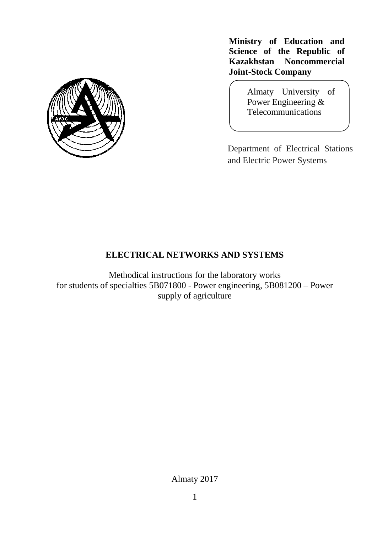

**Ministry of Education and Science of the Republic of Kazakhstan Noncommercial Joint-Stock Company**

> Almaty University of Power Engineering & Telecommunications

Department of Electrical Stations and Electric Power Systems

# **ELECTRICAL NETWORKS AND SYSTEMS**

Methodical instructions for the laboratory works for students of specialties 5B071800 - Power engineering, 5B081200 – Power supply of agriculture

Almaty 2017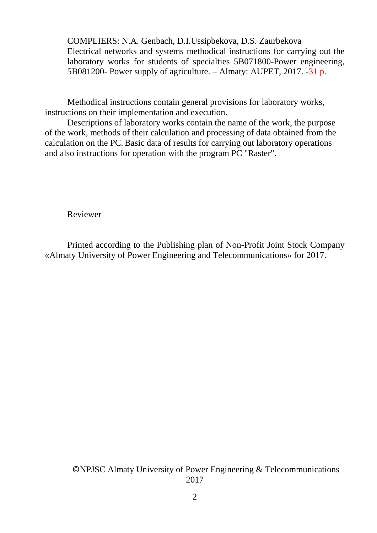COMPLIERS: N.A. Genbach, D.I.Ussipbekova, D.S. Zaurbekova Electrical networks and systems methodical instructions for carrying out the laboratory works for students of specialties 5B071800-Power engineering, 5B081200- Power supply of agriculture. – Almaty: AUPET, 2017. -31 p.

Methodical instructions contain general provisions for laboratory works, instructions on their implementation and execution.

Descriptions of laboratory works contain the name of the work, the purpose of the work, methods of their calculation and processing of data obtained from the calculation on the PC. Basic data of results for carrying out laboratory operations and also instructions for operation with the program PC "Raster".

Reviewer

Printed according to the Publishing plan of Non-Profit Joint Stock Company «Almaty University of Power Engineering and Telecommunications» for 2017.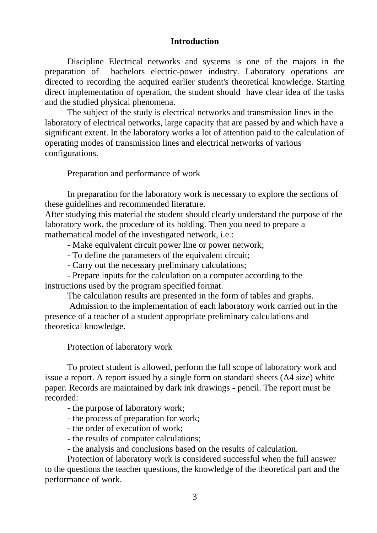## **Introduction**

Discipline Electrical networks and systems is one of the majors in the preparation of bachelors electric-power industry. Laboratory operations are directed to recording the acquired earlier student's theoretical knowledge. Starting direct implementation of operation, the student should have clear idea of the tasks and the studied physical phenomena.

The subject of the study is electrical networks and transmission lines in the laboratory of electrical networks, large capacity that are passed by and which have a significant extent. In the laboratory works a lot of attention paid to the calculation of operating modes of transmission lines and electrical networks of various configurations.

Preparation and performance of work

In preparation for the laboratory work is necessary to explore the sections of these guidelines and recommended literature.

After studying this material the student should clearly understand the purpose of the laboratory work, the procedure of its holding. Then you need to prepare a mathematical model of the investigated network, i.e.:

- Make equivalent circuit power line or power network;

- To define the parameters of the equivalent circuit;

- Carry out the necessary preliminary calculations;

- Prepare inputs for the calculation on a computer according to the instructions used by the program specified format.

The calculation results are presented in the form of tables and graphs.

Admission to the implementation of each laboratory work carried out in the presence of a teacher of a student appropriate preliminary calculations and theoretical knowledge.

Protection of laboratory work

To protect student is allowed, perform the full scope of laboratory work and issue a report. A report issued by a single form on standard sheets (A4 size) white paper. Records are maintained by dark ink drawings - pencil. The report must be recorded:

- the purpose of laboratory work;

- the process of preparation for work;

- the order of execution of work;

- the results of computer calculations;

- the analysis and conclusions based on the results of calculation.

Protection of laboratory work is considered successful when the full answer to the questions the teacher questions, the knowledge of the theoretical part and the performance of work.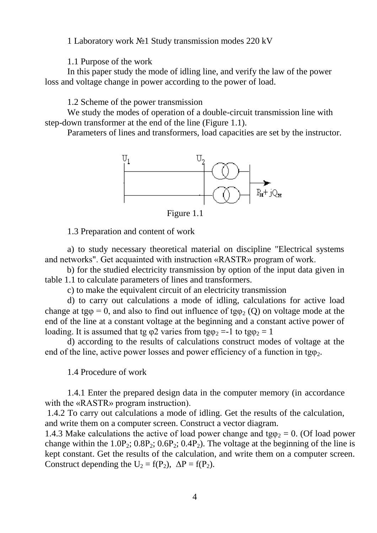1 Laboratory work №1 Study transmission modes 220 kV

1.1 Purpose of the work

In this paper study the mode of idling line, and verify the law of the power loss and voltage change in power according to the power of load.

1.2 Scheme of the power transmission

We study the modes of operation of a double-circuit transmission line with step-down transformer at the end of the line (Figure 1.1).

Parameters of lines and transformers, load capacities are set by the instructor.



Figure 1.1

1.3 Preparation and content of work

a) to study necessary theoretical material on discipline "Electrical systems and networks". Get acquainted with instruction «RASTR» program of work.

 b) for the studied electricity transmission by option of the input data given in table 1.1 to calculate parameters of lines and transformers.

c) to make the equivalent circuit of an electricity transmission

d) to carry out calculations a mode of idling, calculations for active load change at tg $\varphi = 0$ , and also to find out influence of tg $\varphi$  (Q) on voltage mode at the end of the line at a constant voltage at the beginning and a constant active power of loading. It is assumed that tg  $\varphi$ 2 varies from tg $\varphi$  =-1 to tg $\varphi$  = 1

d) according to the results of calculations construct modes of voltage at the end of the line, active power losses and power efficiency of a function in tg $\varphi_2$ .

1.4 Procedure of work

1.4.1 Enter the prepared design data in the computer memory (in accordance with the «RASTR» program instruction).

1.4.2 To carry out calculations a mode of idling. Get the results of the calculation, and write them on a computer screen. Construct a vector diagram.

1.4.3 Make calculations the active of load power change and tg $\varphi_2 = 0$ . (Of load power change within the  $1.0P_2$ ;  $0.8P_2$ ;  $0.6P_2$ ;  $0.4P_2$ ). The voltage at the beginning of the line is kept constant. Get the results of the calculation, and write them on a computer screen. Construct depending the  $U_2 = f(P_2)$ ,  $\Delta P = f(P_2)$ .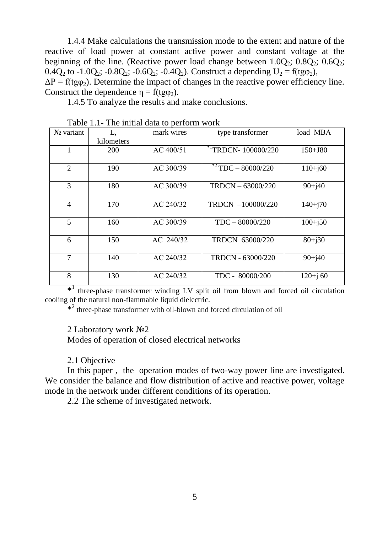1.4.4 Make calculations the transmission mode to the extent and nature of the reactive of load power at constant active power and constant voltage at the beginning of the line. (Reactive power load change between  $1.0Q_2$ ;  $0.8Q_2$ ;  $0.6Q_2$ ; 0.4Q<sub>2</sub> to -1.0Q<sub>2</sub>; -0.8Q<sub>2</sub>; -0.6Q<sub>2</sub>; -0.4Q<sub>2</sub>). Construct a depending U<sub>2</sub> = f(tg $\varphi$ <sub>2</sub>),  $\Delta P = f(t\gamma_2)$ . Determine the impact of changes in the reactive power efficiency line. Construct the dependence  $\eta = f(tg\varphi_2)$ .

1.4.5 To analyze the results and make conclusions.

| No variant     | L,         | mark wires | type transformer                  | load MBA    |
|----------------|------------|------------|-----------------------------------|-------------|
|                | kilometers |            |                                   |             |
|                | 200        | AC 400/51  | $*$ <sup>1</sup> TRDCN-100000/220 | $150 + J80$ |
| $\overline{2}$ | 190        | AC 300/39  | $*2$ TDC $-$ 80000/220            | $110 + j60$ |
| 3              | 180        | AC 300/39  | $TRDCN - 63000/220$               | $90 + j40$  |
| $\overline{4}$ | 170        | AC 240/32  | TRDCN -100000/220                 | $140+170$   |
| 5              | 160        | AC 300/39  | $TDC - 80000/220$                 | $100 + j50$ |
| 6              | 150        | AC 240/32  | TRDCN 63000/220                   | $80 + j30$  |
| 7              | 140        | AC 240/32  | TRDCN - 63000/220                 | $90 + j40$  |
| 8              | 130        | AC 240/32  | TDC - 80000/200                   | $120+j60$   |

Table 1.1- The initial data to perform work

\*<sup>1</sup> three-phase transformer winding LV split oil from blown and forced oil circulation cooling of the natural non-flammable liquid dielectric.

\*<sup>2</sup> three-phase transformer with oil-blown and forced circulation of oil

2 Laboratory work №2

Modes of operation of closed electrical networks

2.1 Objective

In this paper , the operation modes of two-way power line are investigated. We consider the balance and flow distribution of active and reactive power, voltage mode in the network under different conditions of its operation.

2.2 The scheme of investigated network.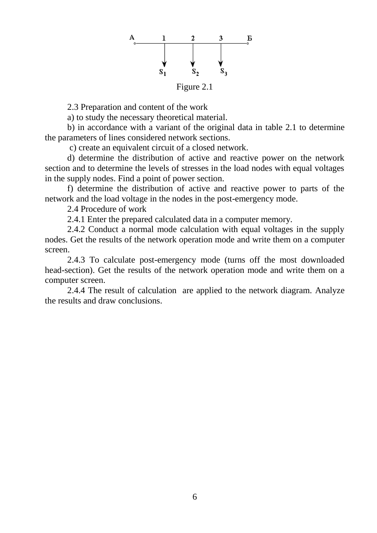

2.3 Preparation and content of the work

a) to study the necessary theoretical material.

b) in accordance with a variant of the original data in table 2.1 to determine the parameters of lines considered network sections.

c) create an equivalent circuit of a closed network.

d) determine the distribution of active and reactive power on the network section and to determine the levels of stresses in the load nodes with equal voltages in the supply nodes. Find a point of power section.

f) determine the distribution of active and reactive power to parts of the network and the load voltage in the nodes in the post-emergency mode.

2.4 Procedure of work

2.4.1 Enter the prepared calculated data in a computer memory.

2.4.2 Conduct a normal mode calculation with equal voltages in the supply nodes. Get the results of the network operation mode and write them on a computer screen.

2.4.3 To calculate post-emergency mode (turns off the most downloaded head-section). Get the results of the network operation mode and write them on a computer screen.

2.4.4 The result of calculation are applied to the network diagram. Analyze the results and draw conclusions.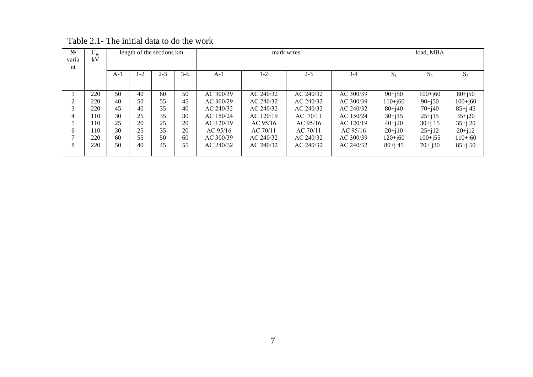| N <sub>2</sub><br>varia<br>nt | $U_n$<br>kV |       | length of the sections km |         |         |           | mark wires | load, MBA  |           |             |             |             |
|-------------------------------|-------------|-------|---------------------------|---------|---------|-----------|------------|------------|-----------|-------------|-------------|-------------|
|                               |             | $A-1$ | 1-2                       | $2 - 3$ | $3 - E$ | $A-1$     | $1-2$      | $2 - 3$    | $3 - 4$   | $S_1$       | $S_2$       | $S_3$       |
|                               | 220         | 50    | 40                        | 60      | 50      | AC 300/39 | AC 240/32  | AC 240/32  | AC 300/39 | $90+150$    | $100 + j60$ | $80 + j50$  |
| 2                             | 220         | 40    | 50                        | 55      | 45      | AC 300/29 | AC 240/32  | AC 240/32  | AC 300/39 | $110+160$   | $90+150$    | $100 + j60$ |
| 3                             | 220         | 45    | 40                        | 35      | 40      | AC 240/32 | AC 240/32  | AC 240/32  | AC 240/32 | $80+140$    | $70+140$    | $85 + j 45$ |
| 4                             | 110         | 30    | 25                        | 35      | 30      | AC 150/24 | AC 120/19  | $AC$ 70/11 | AC 150/24 | $30+j15$    | $25 + j15$  | $35 + j20$  |
| 5                             | 110         | 25    | 20                        | 25      | 20      | AC 120/19 | AC 95/16   | AC 95/16   | AC 120/19 | $40+120$    | $30 + i 15$ | $35+j20$    |
| 6                             | 110         | 30    | 25                        | 35      | 20      | AC 95/16  | AC 70/11   | AC 70/11   | AC 95/16  | $20 + i10$  | $25 + 12$   | $20 + j12$  |
|                               | 220         | 60    | 55                        | 50      | 60      | AC 300/39 | AC 240/32  | AC 240/32  | AC 300/39 | $120 + j60$ | $100 + j55$ | $110 + j60$ |
| 8                             | 220         | 50    | 40                        | 45      | 55      | AC 240/32 | AC 240/32  | AC 240/32  | AC 240/32 | $80+j 45$   | $70+130$    | $85 + j 50$ |

Table 2.1- The initial data to do the work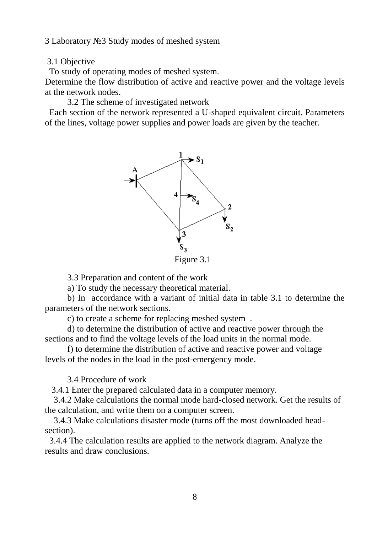3 Laboratory №3 Study modes of meshed system

3.1 Objective

To study of operating modes of meshed system.

Determine the flow distribution of active and reactive power and the voltage levels at the network nodes.

3.2 The scheme of investigated network

Each section of the network represented a U-shaped equivalent circuit. Parameters of the lines, voltage power supplies and power loads are given by the teacher.



Figure 3.1

3.3 Preparation and content of the work

a) To study the necessary theoretical material.

b) In accordance with a variant of initial data in table 3.1 to determine the parameters of the network sections.

c) to create a scheme for replacing meshed system .

d) to determine the distribution of active and reactive power through the sections and to find the voltage levels of the load units in the normal mode.

f) to determine the distribution of active and reactive power and voltage levels of the nodes in the load in the post-emergency mode.

3.4 Procedure of work

3.4.1 Enter the prepared calculated data in a computer memory.

 3.4.2 Make calculations the normal mode hard-closed network. Get the results of the calculation, and write them on a computer screen.

 3.4.3 Make calculations disaster mode (turns off the most downloaded headsection).

3.4.4 The calculation results are applied to the network diagram. Analyze the results and draw conclusions.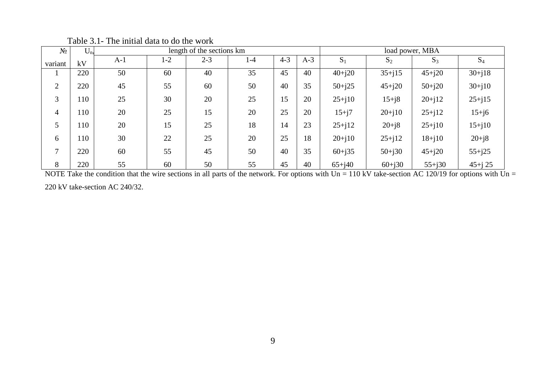| $N_{2}$ | $U_n$ |       |       | length of the sections km |       | load power, MBA |       |            |            |            |             |
|---------|-------|-------|-------|---------------------------|-------|-----------------|-------|------------|------------|------------|-------------|
| variant | kV    | $A-1$ | $1-2$ | $2 - 3$                   | $1-4$ | $4 - 3$         | $A-3$ | $S_1$      | $S_2$      | $S_3$      | $S_4$       |
|         | 220   | 50    | 60    | 40                        | 35    | 45              | 40    | $40 + j20$ | $35 + i15$ | $45 + j20$ | $30+j18$    |
| 2       | 220   | 45    | 55    | 60                        | 50    | 40              | 35    | $50 + j25$ | $45 + i20$ | $50 + j20$ | $30+j10$    |
| 3       | 110   | 25    | 30    | 20                        | 25    | 15              | 20    | $25 + j10$ | $15 + i8$  | $20 + j12$ | $25 + j15$  |
| 4       | 110   | 20    | 25    | 15                        | 20    | 25              | 20    | $15 + j7$  | $20 + i10$ | $25 + j12$ | $15 + j6$   |
|         | 110   | 20    | 15    | 25                        | 18    | 14              | 23    | $25 + j12$ | $20 + j8$  | $25 + j10$ | $15 + j10$  |
| 6       | 110   | 30    | 22    | 25                        | 20    | 25              | 18    | $20 + j10$ | $25 + j12$ | $18 + j10$ | $20 + j8$   |
| 7       | 220   | 60    | 55    | 45                        | 50    | 40              | 35    | $60 + j35$ | $50 + j30$ | $45 + j20$ | $55 + j25$  |
| 8       | 220   | 55    | 60    | 50                        | 55    | 45              | 40    | $65 + j40$ | $60 + j30$ | $55 + j30$ | $45 + j$ 25 |

Table 3.1- The initial data to do the work

NOTE Take the condition that the wire sections in all parts of the network. For options with  $Un = 110$  kV take-section AC 120/19 for options with  $Un =$ 

220 kV take-section AC 240/32.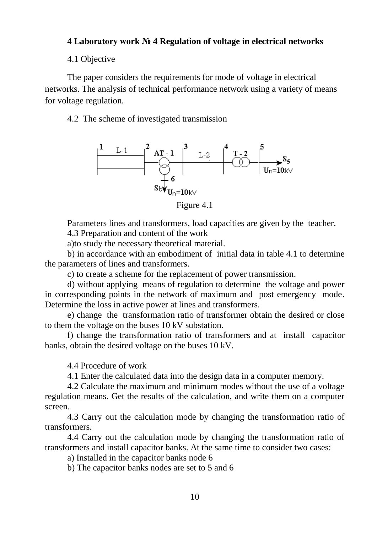## **4 Laboratory work № 4 Regulation of voltage in electrical networks**

4.1 Objective

The paper considers the requirements for mode of voltage in electrical networks. The analysis of technical performance network using a variety of means for voltage regulation.

4.2 The scheme of investigated transmission



Figure 4.1

Parameters lines and transformers, load capacities are given by the teacher.

4.3 Preparation and content of the work

a)to study the necessary theoretical material.

b) in accordance with an embodiment of initial data in table 4.1 to determine the parameters of lines and transformers.

c) to create a scheme for the replacement of power transmission.

d) without applying means of regulation to determine the voltage and power in corresponding points in the network of maximum and post emergency mode. Determine the loss in active power at lines and transformers.

e) change the transformation ratio of transformer obtain the desired or close to them the voltage on the buses 10 kV substation.

f) change the transformation ratio of transformers and at install capacitor banks, obtain the desired voltage on the buses 10 kV.

4.4 Procedure of work

4.1 Enter the calculated data into the design data in a computer memory.

4.2 Calculate the maximum and minimum modes without the use of a voltage regulation means. Get the results of the calculation, and write them on a computer screen.

4.3 Carry out the calculation mode by changing the transformation ratio of transformers.

4.4 Carry out the calculation mode by changing the transformation ratio of transformers and install capacitor banks. At the same time to consider two cases:

a) Installed in the capacitor banks node 6

b) The capacitor banks nodes are set to 5 and 6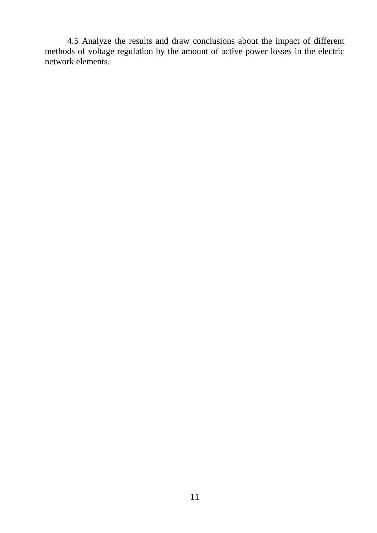4.5 Analyze the results and draw conclusions about the impact of different methods of voltage regulation by the amount of active power losses in the electric network elements.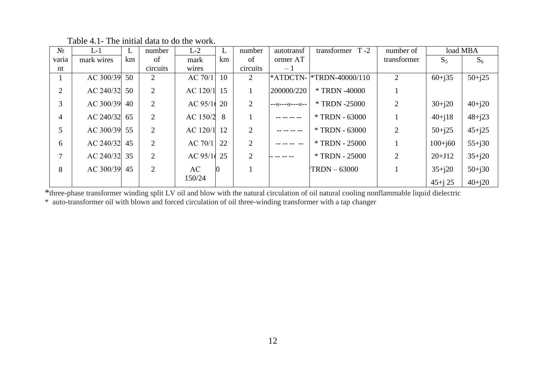| $N_2$ | $L-1$      | L  | number         | $L-2$    | L  | number         | autotransf      | transformer $T - 2$              | number of   |             | load MBA   |
|-------|------------|----|----------------|----------|----|----------------|-----------------|----------------------------------|-------------|-------------|------------|
| varia | mark wires | km | of             | mark     | km | of             | ormer AT        |                                  | transformer | $S_5$       | $S_6$      |
| nt    |            |    | circuits       | wires    |    | circuits       | $-1$            |                                  |             |             |            |
|       | AC 300/39  | 50 | 2              | AC 70/11 | 10 | 2              |                 | <b>*ATDCTN-</b>  *TRDN-40000/110 | 2           | $60 + j35$  | $50 + j25$ |
| 2     | AC 240/32  | 50 | $\overline{2}$ | AC 120/1 | 15 |                | 200000/220      | * TRDN -40000                    |             |             |            |
| 3     | AC 300/39  | 40 | $\overline{2}$ | AC 95/10 | 20 | 2              | --<<--<<---<<-- | * TRDN -25000                    | 2           | $30 + j20$  | $40 + j20$ |
| 4     | AC 240/32  | 65 | $\overline{2}$ | AC 150/2 | 8  |                |                 | * TRDN - 63000                   |             | $40+j18$    | $48 + j23$ |
| 5     | AC 300/39  | 55 | $\overline{2}$ | AC 120/1 | 12 | $\overline{2}$ |                 | * TRDN - 63000                   | 2           | $50 + j25$  | $45 + j25$ |
| 6     | AC 240/32  | 45 | $\overline{2}$ | AC 70/11 | 22 | 2              |                 | $*$ TRDN - 25000                 |             | $100 + j60$ | $55+j30$   |
| 7     | AC 240/32  | 35 | $\overline{2}$ | AC 95/16 | 25 | 2              |                 | * TRDN - 25000                   | 2           | $20 + J12$  | $35 + j20$ |
| 8     | AC 300/39  | 45 | $\overline{2}$ | AC       | Ю  |                |                 | $TRDN - 63000$                   |             | $35 + i20$  | $50 + j30$ |
|       |            |    |                | 150/24   |    |                |                 |                                  |             | $45 + i 25$ | $40 + i20$ |

Table 4.1- The initial data to do the work.

\*three-phase transformer winding split LV oil and blow with the natural circulation of oil natural cooling nonflammable liquid dielectric

\* auto-transformer oil with blown and forced circulation of oil three-winding transformer with a tap changer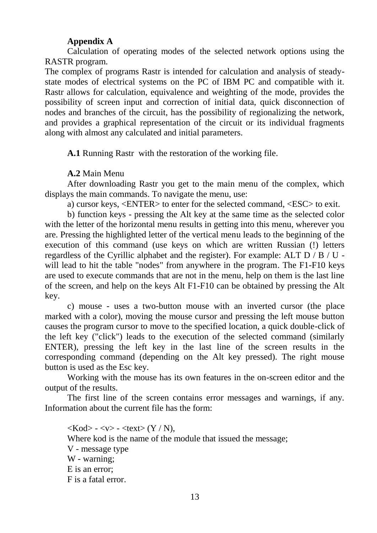# **Appendix A**

Calculation of operating modes of the selected network options using the RASTR program.

The complex of programs Rastr is intended for calculation and analysis of steadystate modes of electrical systems on the PC of IBM PC and compatible with it. Rastr allows for calculation, equivalence and weighting of the mode, provides the possibility of screen input and correction of initial data, quick disconnection of nodes and branches of the circuit, has the possibility of regionalizing the network, and provides a graphical representation of the circuit or its individual fragments along with almost any calculated and initial parameters.

**A.1** Running Rastr with the restoration of the working file.

**A.2** Main Menu

After downloading Rastr you get to the main menu of the complex, which displays the main commands. To navigate the menu, use:

a) cursor keys, <ENTER> to enter for the selected command, <ESC> to exit.

b) function keys - pressing the Alt key at the same time as the selected color with the letter of the horizontal menu results in getting into this menu, wherever you are. Pressing the highlighted letter of the vertical menu leads to the beginning of the execution of this command (use keys on which are written Russian (!) letters regardless of the Cyrillic alphabet and the register). For example: ALT D / B / U will lead to hit the table "nodes" from anywhere in the program. The F1-F10 keys are used to execute commands that are not in the menu, help on them is the last line of the screen, and help on the keys Alt F1-F10 can be obtained by pressing the Alt key.

c) mouse - uses a two-button mouse with an inverted cursor (the place marked with a color), moving the mouse cursor and pressing the left mouse button causes the program cursor to move to the specified location, a quick double-click of the left key ("click") leads to the execution of the selected command (similarly ENTER), pressing the left key in the last line of the screen results in the corresponding command (depending on the Alt key pressed). The right mouse button is used as the Esc key.

Working with the mouse has its own features in the on-screen editor and the output of the results.

The first line of the screen contains error messages and warnings, if any. Information about the current file has the form:

 $\langle \text{Kod}\rangle$  -  $\langle \text{v}\rangle$  -  $\langle \text{textV / N}\rangle$ , Where kod is the name of the module that issued the message; V - message type W - warning; E is an error; F is a fatal error.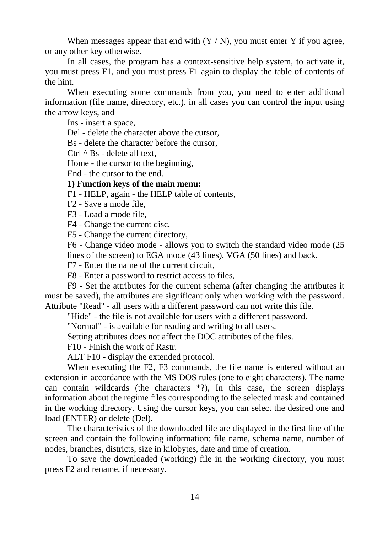When messages appear that end with  $(Y / N)$ , you must enter Y if you agree, or any other key otherwise.

In all cases, the program has a context-sensitive help system, to activate it, you must press F1, and you must press F1 again to display the table of contents of the hint.

When executing some commands from you, you need to enter additional information (file name, directory, etc.), in all cases you can control the input using the arrow keys, and

Ins - insert a space,

Del - delete the character above the cursor,

Bs - delete the character before the cursor,

Ctrl  $^{\wedge}$  Bs - delete all text,

Home - the cursor to the beginning,

End - the cursor to the end.

## **1) Function keys of the main menu:**

F1 - HELP, again - the HELP table of contents,

F2 - Save a mode file,

F3 - Load a mode file,

F4 - Change the current disc,

F5 - Change the current directory,

F6 - Change video mode - allows you to switch the standard video mode (25 lines of the screen) to EGA mode (43 lines), VGA (50 lines) and back.

F7 - Enter the name of the current circuit,

F8 - Enter a password to restrict access to files,

F9 - Set the attributes for the current schema (after changing the attributes it must be saved), the attributes are significant only when working with the password. Attribute "Read" - all users with a different password can not write this file.

"Hide" - the file is not available for users with a different password.

"Normal" - is available for reading and writing to all users.

Setting attributes does not affect the DOC attributes of the files.

F10 - Finish the work of Rastr.

ALT F10 - display the extended protocol.

When executing the F2, F3 commands, the file name is entered without an extension in accordance with the MS DOS rules (one to eight characters). The name can contain wildcards (the characters  $*$ ?), In this case, the screen displays information about the regime files corresponding to the selected mask and contained in the working directory. Using the cursor keys, you can select the desired one and load (ENTER) or delete (Del).

The characteristics of the downloaded file are displayed in the first line of the screen and contain the following information: file name, schema name, number of nodes, branches, districts, size in kilobytes, date and time of creation.

To save the downloaded (working) file in the working directory, you must press F2 and rename, if necessary.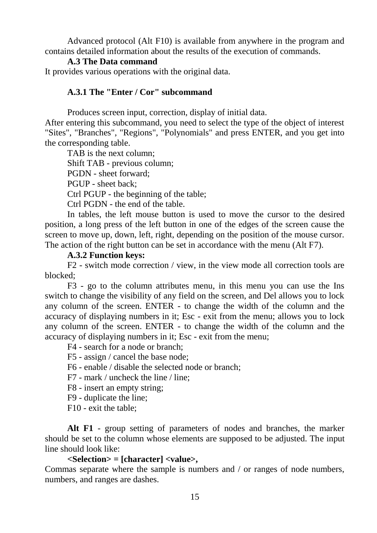Advanced protocol (Alt F10) is available from anywhere in the program and contains detailed information about the results of the execution of commands.

#### **A.3 The Data command**

It provides various operations with the original data.

## **A.3.1 The "Enter / Cor" subcommand**

Produces screen input, correction, display of initial data.

After entering this subcommand, you need to select the type of the object of interest "Sites", "Branches", "Regions", "Polynomials" and press ENTER, and you get into the corresponding table.

TAB is the next column;

Shift TAB - previous column;

PGDN - sheet forward;

PGUP - sheet back;

Ctrl PGUP - the beginning of the table;

Ctrl PGDN - the end of the table.

In tables, the left mouse button is used to move the cursor to the desired position, a long press of the left button in one of the edges of the screen cause the screen to move up, down, left, right, depending on the position of the mouse cursor. The action of the right button can be set in accordance with the menu (Alt F7).

#### **A.3.2 Function keys:**

F2 - switch mode correction / view, in the view mode all correction tools are blocked;

F3 - go to the column attributes menu, in this menu you can use the Ins switch to change the visibility of any field on the screen, and Del allows you to lock any column of the screen. ENTER - to change the width of the column and the accuracy of displaying numbers in it; Esc - exit from the menu; allows you to lock any column of the screen. ENTER - to change the width of the column and the accuracy of displaying numbers in it; Esc - exit from the menu;

F4 - search for a node or branch;

F5 - assign / cancel the base node;

- F6 enable / disable the selected node or branch;
- F7 mark / uncheck the line / line;
- F8 insert an empty string;
- F9 duplicate the line;

F10 - exit the table;

**Alt F1** - group setting of parameters of nodes and branches, the marker should be set to the column whose elements are supposed to be adjusted. The input line should look like:

#### **<Selection> = [character] <value>,**

Commas separate where the sample is numbers and / or ranges of node numbers, numbers, and ranges are dashes.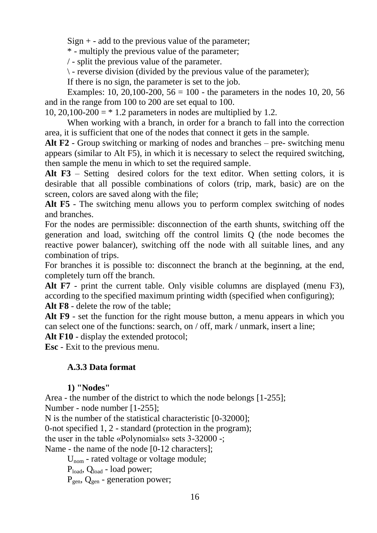$Sign + - add$  to the previous value of the parameter;

\* - multiply the previous value of the parameter;

/ - split the previous value of the parameter.

 $\backslash$  - reverse division (divided by the previous value of the parameter);

If there is no sign, the parameter is set to the job.

Examples: 10, 20, 100-200,  $56 = 100$  - the parameters in the nodes 10, 20, 56 and in the range from 100 to 200 are set equal to 100.

10, 20,100-200  $=$  \* 1.2 parameters in nodes are multiplied by 1.2.

When working with a branch, in order for a branch to fall into the correction area, it is sufficient that one of the nodes that connect it gets in the sample.

**Alt F2** - Group switching or marking of nodes and branches – pre- switching menu appears (similar to Alt F5), in which it is necessary to select the required switching, then sample the menu in which to set the required sample.

**Alt F3** – Setting desired colors for the text editor. When setting colors, it is desirable that all possible combinations of colors (trip, mark, basic) are on the screen, colors are saved along with the file;

**Alt F5** - The switching menu allows you to perform complex switching of nodes and branches.

For the nodes are permissible: disconnection of the earth shunts, switching off the generation and load, switching off the control limits Q (the node becomes the reactive power balancer), switching off the node with all suitable lines, and any combination of trips.

For branches it is possible to: disconnect the branch at the beginning, at the end, completely turn off the branch.

**Alt F7** - print the current table. Only visible columns are displayed (menu F3), according to the specified maximum printing width (specified when configuring);

**Alt F8** - delete the row of the table;

**Alt F9** - set the function for the right mouse button, a menu appears in which you can select one of the functions: search, on / off, mark / unmark, insert a line;

Alt **F10** - display the extended protocol:

**Esc** - Exit to the previous menu.

# **A.3.3 Data format**

# **1) "Nodes"**

Area - the number of the district to which the node belongs [1-255]; Number - node number [1-255];

N is the number of the statistical characteristic [0-32000];

0-not specified 1, 2 - standard (protection in the program);

the user in the table «Polynomials» sets 3-32000 -;

Name - the name of the node [0-12 characters];

U<sub>nom</sub> - rated voltage or voltage module;

 $P<sub>load</sub>$ ,  $Q<sub>load</sub>$  - load power;

 $P_{gen}$ ,  $Q_{gen}$  - generation power;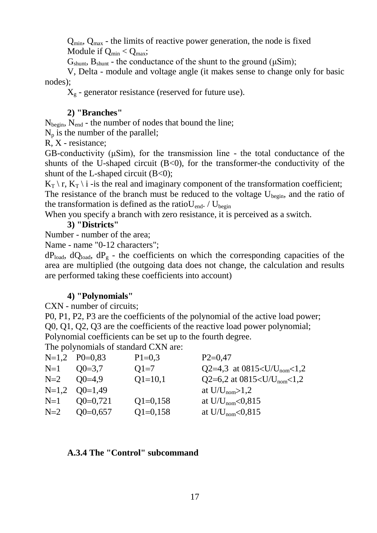$Q_{min}$ ,  $Q_{max}$  - the limits of reactive power generation, the node is fixed Module if  $Q_{min} < Q_{max}$ ;

 $G<sub>shunt</sub>$ ,  $B<sub>shunt</sub>$  - the conductance of the shunt to the ground ( $\mu Sim$ );

V, Delta - module and voltage angle (it makes sense to change only for basic nodes);

 $X_g$  - generator resistance (reserved for future use).

## **2) "Branches"**

Nbegin, Nend - the number of nodes that bound the line;

 $N_p$  is the number of the parallel;

R, X - resistance;

GB-conductivity (μSim), for the transmission line - the total conductance of the shunts of the U-shaped circuit  $(B<0)$ , for the transformer-the conductivity of the shunt of the L-shaped circuit  $(B<0)$ ;

 $K_T \setminus r$ ,  $K_T \setminus i$  -is the real and imaginary component of the transformation coefficient; The resistance of the branch must be reduced to the voltage  $U_{\text{begin}}$ , and the ratio of the transformation is defined as the ratio $U_{end}$ . /  $U_{begin}$ 

When you specify a branch with zero resistance, it is perceived as a switch.

## **3) "Districts"**

Number - number of the area;

Name - name "0-12 characters";

 $dP_{load}$ ,  $dQ_{load}$ ,  $dP_g$  - the coefficients on which the corresponding capacities of the area are multiplied (the outgoing data does not change, the calculation and results are performed taking these coefficients into account)

## **4) "Polynomials"**

CXN - number of circuits;

P0, P1, P2, P3 are the coefficients of the polynomial of the active load power;

Q0, Q1, Q2, Q3 are the coefficients of the reactive load power polynomial;

Polynomial coefficients can be set up to the fourth degree.

The polynomials of standard CXN are:

| $P1=0,3$                                                                                                           | $P2=0,47$                                 |
|--------------------------------------------------------------------------------------------------------------------|-------------------------------------------|
| $Q1=7$                                                                                                             | Q2=4,3 at 0815 <u u<sub="">nom&lt;1,2</u> |
| $Q1 = 10,1$                                                                                                        | Q2=6,2 at 0815 <u u<sub="">nom&lt;1,2</u> |
|                                                                                                                    | at $U/U_{\text{nom}} > 1,2$               |
| $Q1=0,158$                                                                                                         | at $U/U_{\text{nom}} < 0.815$             |
| $Q1=0,158$                                                                                                         | at $U/U_{\text{nom}} < 0.815$             |
| $N=1,2$ $P0=0.83$<br>$N=1$ $Q0=3.7$<br>$N=2$ $Q0=4.9$<br>$N=1,2$ $Q0=1,49$<br>$N=1$ $Q0=0,721$<br>$N=2$ $Q0=0.657$ |                                           |

## **A.3.4 The "Control" subcommand**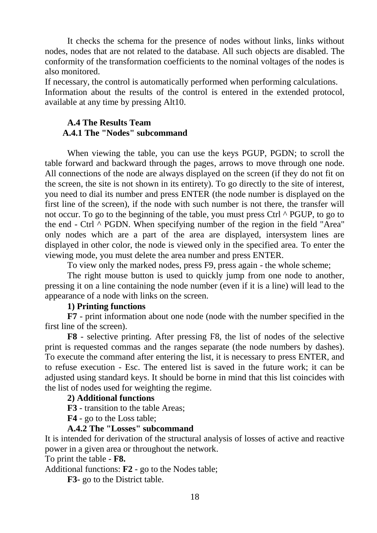It checks the schema for the presence of nodes without links, links without nodes, nodes that are not related to the database. All such objects are disabled. The conformity of the transformation coefficients to the nominal voltages of the nodes is also monitored.

If necessary, the control is automatically performed when performing calculations. Information about the results of the control is entered in the extended protocol, available at any time by pressing Alt10.

## **A.4 The Results Team A.4.1 The "Nodes" subcommand**

When viewing the table, you can use the keys PGUP, PGDN; to scroll the table forward and backward through the pages, arrows to move through one node. All connections of the node are always displayed on the screen (if they do not fit on the screen, the site is not shown in its entirety). To go directly to the site of interest, you need to dial its number and press ENTER (the node number is displayed on the first line of the screen), if the node with such number is not there, the transfer will not occur. To go to the beginning of the table, you must press Ctrl ^ PGUP, to go to the end - Ctrl  $\wedge$  PGDN. When specifying number of the region in the field "Area" only nodes which are a part of the area are displayed, intersystem lines are displayed in other color, the node is viewed only in the specified area. To enter the viewing mode, you must delete the area number and press ENTER.

To view only the marked nodes, press F9, press again - the whole scheme;

The right mouse button is used to quickly jump from one node to another, pressing it on a line containing the node number (even if it is a line) will lead to the appearance of a node with links on the screen.

#### **1) Printing functions**

**F7** - print information about one node (node with the number specified in the first line of the screen).

**F8** - selective printing. After pressing F8, the list of nodes of the selective print is requested commas and the ranges separate (the node numbers by dashes). To execute the command after entering the list, it is necessary to press ENTER, and to refuse execution - Esc. The entered list is saved in the future work; it can be adjusted using standard keys. It should be borne in mind that this list coincides with the list of nodes used for weighting the regime.

## **2) Additional functions**

**F3** - transition to the table Areas;

**F4** - go to the Loss table;

#### **A.4.2 The "Losses" subcommand**

It is intended for derivation of the structural analysis of losses of active and reactive power in a given area or throughout the network.

To print the table - **F8.**

Additional functions: **F2** - go to the Nodes table;

**F3**- go to the District table.